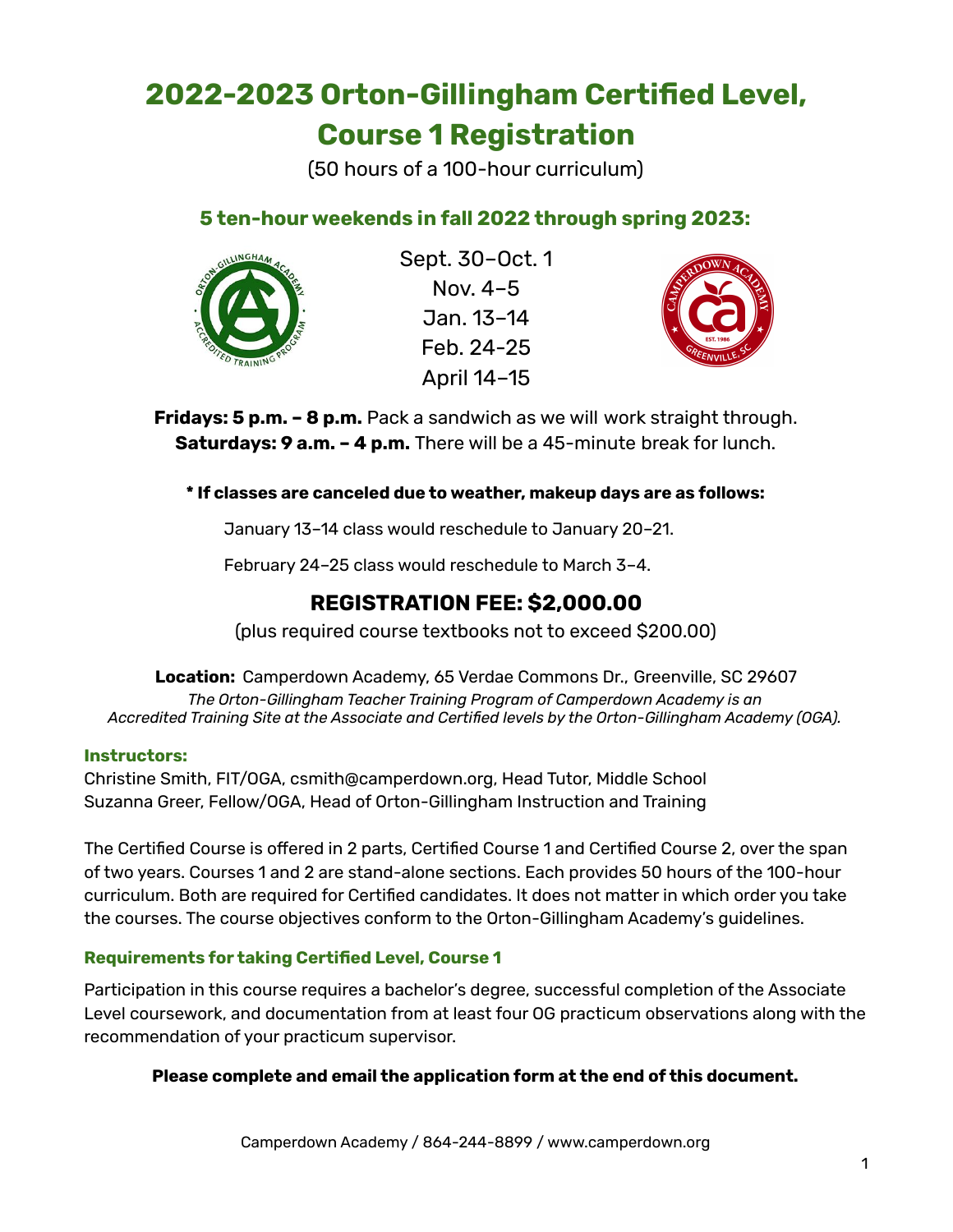# **2022-2023 Orton-Gillingham Certified Level, Course 1 Registration**

(50 hours of a 100-hour curriculum)

## **5 ten-hour weekends in fall 2022 through spring 2023:**



Sept. 30–Oct. 1 Nov. 4–5 Jan. 13–14 Feb. 24-25 April 14–15



**Fridays: 5 p.m. – 8 p.m.** Pack a sandwich as we will work straight through. **Saturdays: 9 a.m. – 4 p.m.** There will be a 45-minute break for lunch.

**\* If classes are canceled due to weather, makeup days are as follows:**

January 13–14 class would reschedule to January 20–21.

February 24–25 class would reschedule to March 3–4.

## **REGISTRATION FEE: \$2,000.00**

(plus required course textbooks not to exceed \$200.00)

**Location:** Camperdown Academy, 65 Verdae Commons Dr., Greenville, SC 29607 *The Orton-Gillingham Teacher Training Program of Camperdown Academy is an Accredited Training Site at the Associate and Certified levels by the Orton-Gillingham Academy (OGA).*

### **Instructors:**

Christine Smith, FIT/OGA, csmith@camperdown.org, Head Tutor, Middle School Suzanna Greer, Fellow/OGA, Head of Orton-Gillingham Instruction and Training

The Certified Course is offered in 2 parts, Certified Course 1 and Certified Course 2, over the span of two years. Courses 1 and 2 are stand-alone sections. Each provides 50 hours of the 100-hour curriculum. Both are required for Certified candidates. It does not matter in which order you take the courses. The course objectives conform to the Orton-Gillingham Academy's guidelines.

### **Requirements for taking Certified Level, Course 1**

Participation in this course requires a bachelor's degree, successful completion of the Associate Level coursework, and documentation from at least four OG practicum observations along with the recommendation of your practicum supervisor.

**Please complete and email the application form at the end of this document.**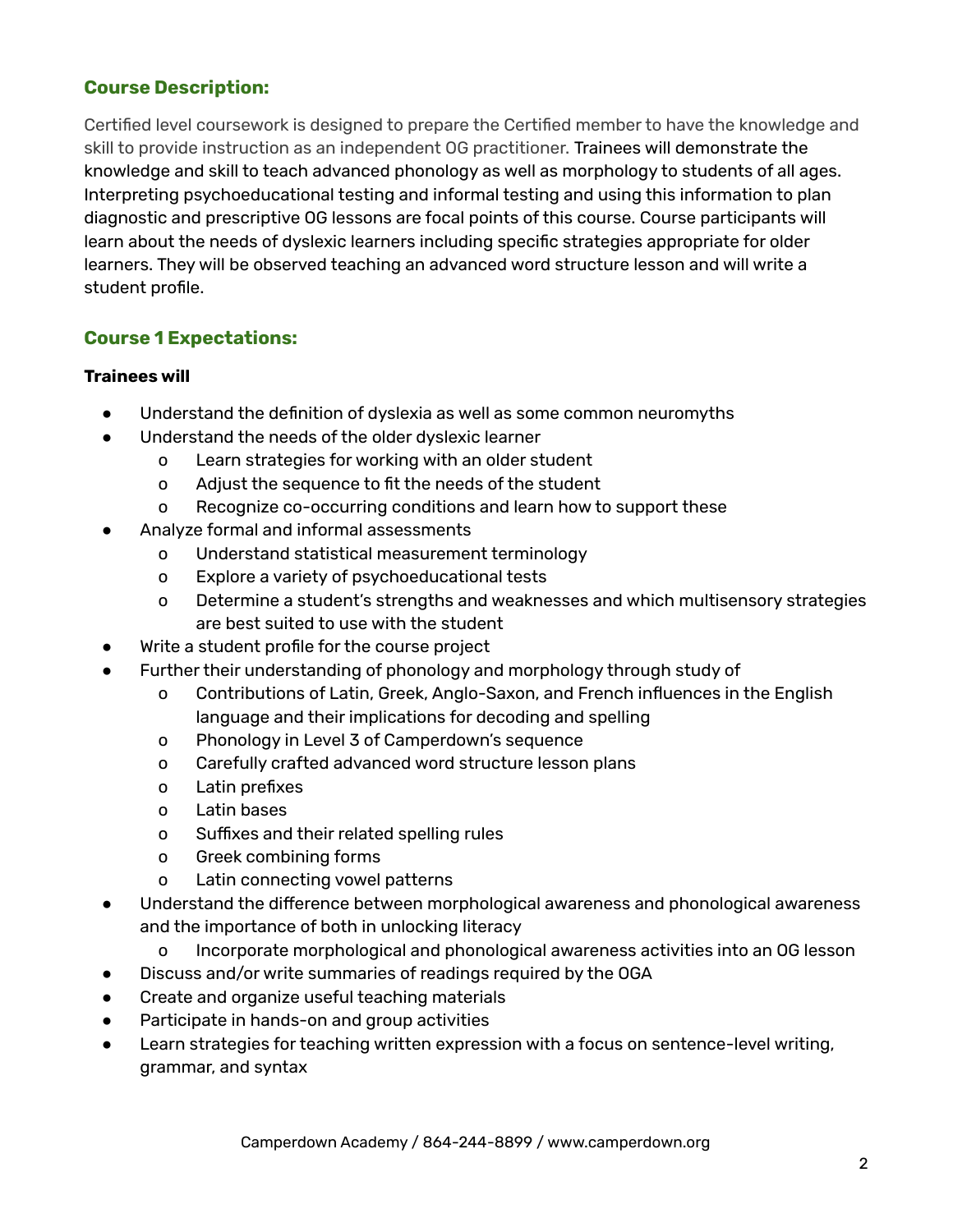## **Course Description:**

Certified level coursework is designed to prepare the Certified member to have the knowledge and skill to provide instruction as an independent OG practitioner. Trainees will demonstrate the knowledge and skill to teach advanced phonology as well as morphology to students of all ages. Interpreting psychoeducational testing and informal testing and using this information to plan diagnostic and prescriptive OG lessons are focal points of this course. Course participants will learn about the needs of dyslexic learners including specific strategies appropriate for older learners. They will be observed teaching an advanced word structure lesson and will write a student profile.

## **Course 1 Expectations:**

#### **Trainees will**

- Understand the definition of dyslexia as well as some common neuromyths
- Understand the needs of the older dyslexic learner
	- o Learn strategies for working with an older student
	- o Adjust the sequence to fit the needs of the student
	- o Recognize co-occurring conditions and learn how to support these
- Analyze formal and informal assessments
	- o Understand statistical measurement terminology
	- o Explore a variety of psychoeducational tests
	- o Determine a student's strengths and weaknesses and which multisensory strategies are best suited to use with the student
- Write a student profile for the course project
- Further their understanding of phonology and morphology through study of
	- o Contributions of Latin, Greek, Anglo-Saxon, and French influences in the English language and their implications for decoding and spelling
	- o Phonology in Level 3 of Camperdown's sequence
	- o Carefully crafted advanced word structure lesson plans
	- o Latin prefixes
	- o Latin bases
	- o Suffixes and their related spelling rules
	- o Greek combining forms
	- o Latin connecting vowel patterns
- Understand the difference between morphological awareness and phonological awareness and the importance of both in unlocking literacy
	- o Incorporate morphological and phonological awareness activities into an OG lesson
- Discuss and/or write summaries of readings required by the OGA
- Create and organize useful teaching materials
- Participate in hands-on and group activities
- Learn strategies for teaching written expression with a focus on sentence-level writing, grammar, and syntax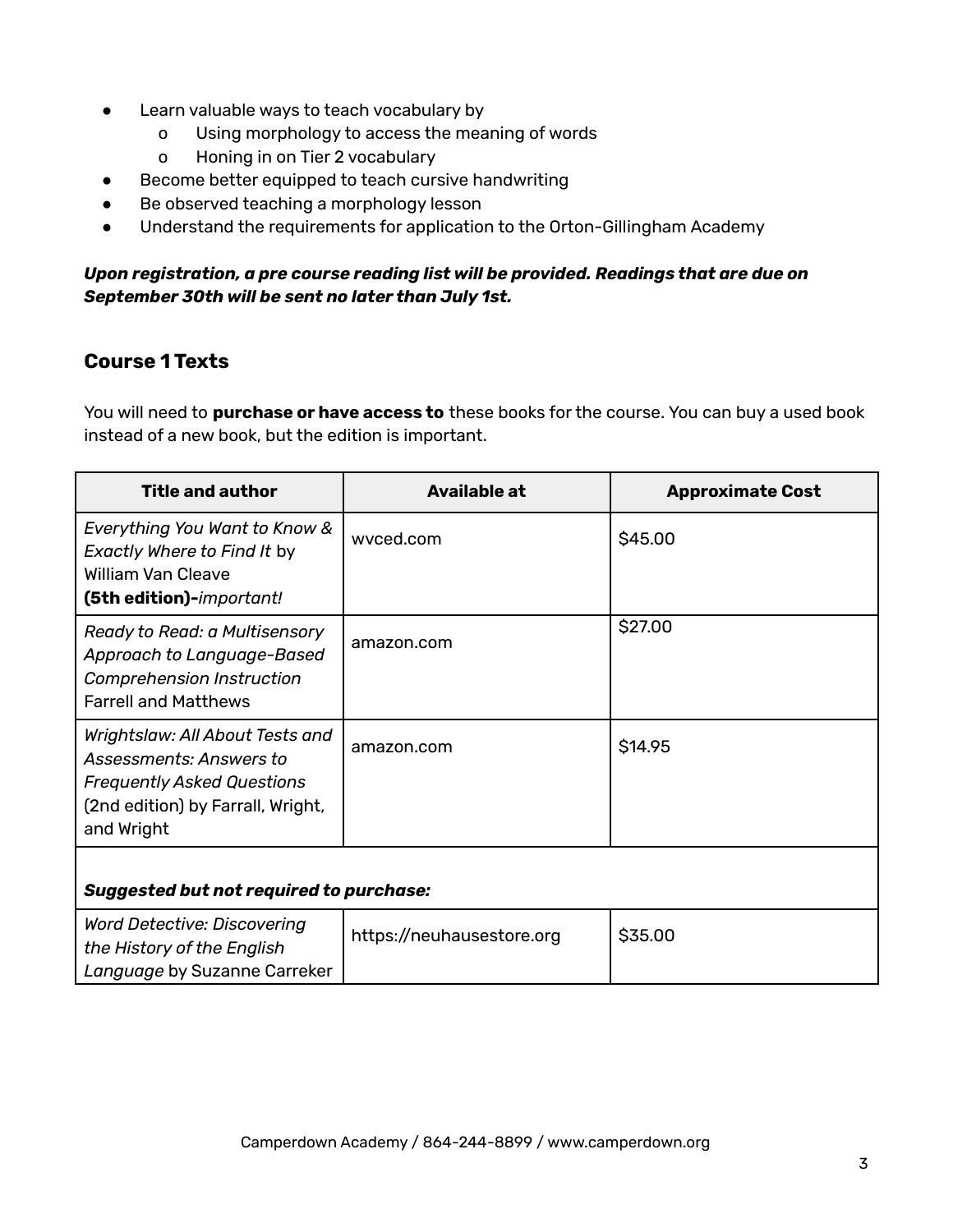- Learn valuable ways to teach vocabulary by
	- o Using morphology to access the meaning of words
	- o Honing in on Tier 2 vocabulary
- Become better equipped to teach cursive handwriting
- Be observed teaching a morphology lesson
- Understand the requirements for application to the Orton-Gillingham Academy

#### *Upon registration, a pre course reading list will be provided. Readings that are due on September 30th will be sent no later than July 1st.*

## **Course 1 Texts**

*Language* by Suzanne Carreker

You will need to **purchase or have access to** these books for the course. You can buy a used book instead of a new book, but the edition is important.

| <b>Title and author</b>                                                                                                                            | Available at              | <b>Approximate Cost</b> |
|----------------------------------------------------------------------------------------------------------------------------------------------------|---------------------------|-------------------------|
| Everything You Want to Know &<br>Exactly Where to Find It by<br><b>William Van Cleave</b><br>(5th edition)-important!                              | wyced.com                 | \$45.00                 |
| Ready to Read: a Multisensory<br><b>Approach to Language-Based</b><br><b>Comprehension Instruction</b><br><b>Farrell and Matthews</b>              | amazon.com                | \$27.00                 |
| Wrightslaw: All About Tests and<br>Assessments: Answers to<br><b>Frequently Asked Questions</b><br>(2nd edition) by Farrall, Wright,<br>and Wright | amazon.com                | <b>\$14.95</b>          |
| <b>Suggested but not required to purchase:</b>                                                                                                     |                           |                         |
| <b>Word Detective: Discovering</b><br>the History of the English                                                                                   | https://neuhausestore.org | \$35.00                 |